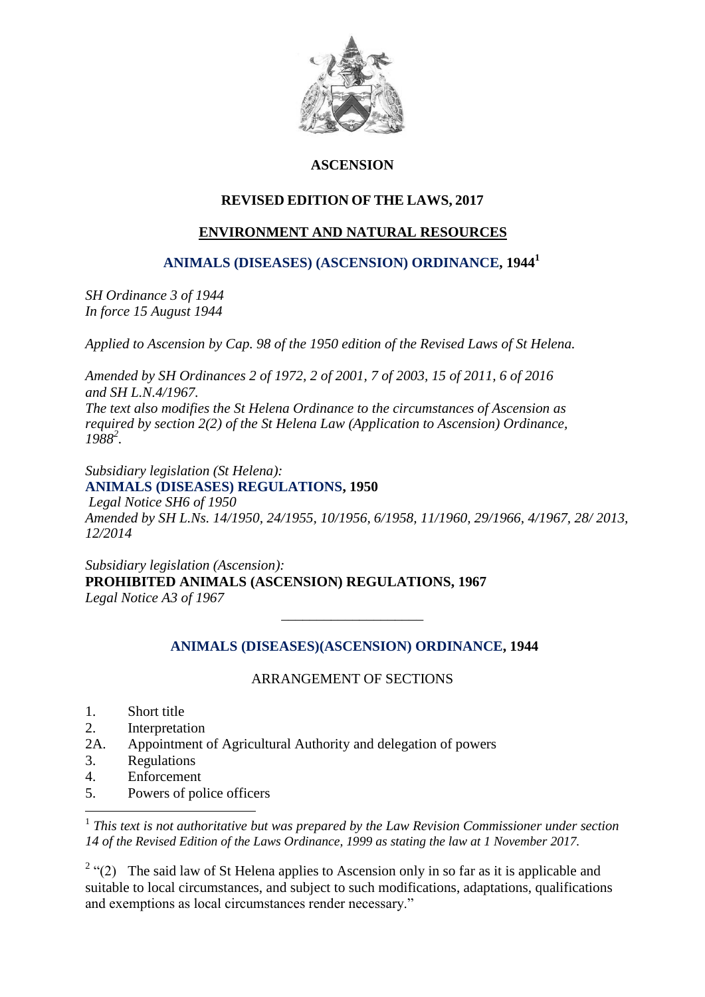

## **ASCENSION**

## **REVISED EDITION OF THE LAWS, 2017**

# **ENVIRONMENT AND NATURAL RESOURCES**

 **[ANIMALS \(DISEASES\) \(ASCENSION\) ORDINANCE,](file:///C:/Users/Wilson/Desktop/SH%20Environment%20&%20Natural%20Resources/%20/%20BankingOrdinance) 1944<sup>1</sup>**

*SH Ordinance 3 of 1944 In force 15 August 1944*

*Applied to Ascension by Cap. 98 of the 1950 edition of the Revised Laws of St Helena.*

*Amended by SH Ordinances 2 of 1972, 2 of 2001, 7 of 2003, 15 of 2011, 6 of 2016 and SH L.N.4/1967. The text also modifies the St Helena Ordinance to the circumstances of Ascension as required by section 2(2) of the St Helena Law (Application to Ascension) Ordinance, 1988<sup>2</sup> .*

*Subsidiary legislation (St Helena):* **[ANIMALS \(DISEASES\) REGULATIONS,](file:///C:/Users/Wilson/Desktop/SH%20Environment%20&%20Natural%20Resources/%20/%20Section33) 1950** *Legal Notice SH6 of 1950 Amended by SH L.Ns. 14/1950, 24/1955, 10/1956, 6/1958, 11/1960, 29/1966, 4/1967, 28/ 2013, 12/2014*

*Subsidiary legislation (Ascension):* **PROHIBITED ANIMALS (ASCENSION) REGULATIONS, 1967**  *Legal Notice A3 of 1967*

## **[ANIMALS \(DISEASES\)\(ASCENSION\)](file:///C:/Users/Wilson/Desktop/SH%20Environment%20&%20Natural%20Resources/%20/%20BankingOrdinance) ORDINANCE, 1944**

*\_\_\_\_\_\_\_\_\_\_\_\_\_\_\_\_\_\_\_\_*

## ARRANGEMENT OF SECTIONS

- 1. Short title
- 2. Interpretation
- 2A. Appointment of Agricultural Authority and delegation of powers
- 3. Regulations
- 4. Enforcement

1

5. Powers of police officers

<sup>1</sup> This text is not authoritative but was prepared by the Law Revision Commissioner under section *14 of the Revised Edition of the Laws Ordinance, 1999 as stating the law at 1 November 2017.*

<sup>2</sup> "(2) The said law of St Helena applies to Ascension only in so far as it is applicable and suitable to local circumstances, and subject to such modifications, adaptations, qualifications and exemptions as local circumstances render necessary."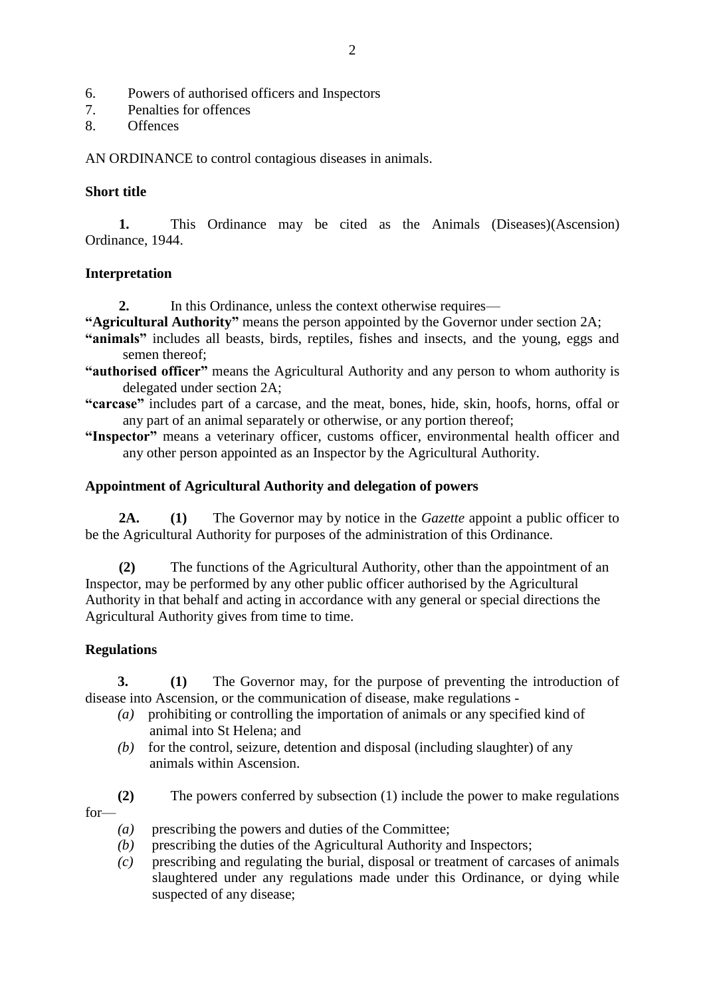- 6. Powers of authorised officers and Inspectors
- 7. Penalties for offences
- 8. Offences

AN ORDINANCE to control contagious diseases in animals.

#### **Short title**

**1.** This Ordinance may be cited as the Animals (Diseases)(Ascension) Ordinance, 1944.

## **Interpretation**

**2.** In this Ordinance, unless the context otherwise requires—

- **"Agricultural Authority"** means the person appointed by the Governor under section 2A;
- **"animals"** includes all beasts, birds, reptiles, fishes and insects, and the young, eggs and semen thereof;
- **"authorised officer"** means the Agricultural Authority and any person to whom authority is delegated under section 2A;
- **"carcase"** includes part of a carcase, and the meat, bones, hide, skin, hoofs, horns, offal or any part of an animal separately or otherwise, or any portion thereof;
- **"Inspector"** means a veterinary officer, customs officer, environmental health officer and any other person appointed as an Inspector by the Agricultural Authority.

## **Appointment of Agricultural Authority and delegation of powers**

**2A. (1)** The Governor may by notice in the *Gazette* appoint a public officer to be the Agricultural Authority for purposes of the administration of this Ordinance.

**(2)** The functions of the Agricultural Authority, other than the appointment of an Inspector, may be performed by any other public officer authorised by the Agricultural Authority in that behalf and acting in accordance with any general or special directions the Agricultural Authority gives from time to time.

## **Regulations**

**3. (1)** The Governor may, for the purpose of preventing the introduction of disease into Ascension, or the communication of disease, make regulations -

- *(a)* prohibiting or controlling the importation of animals or any specified kind of animal into St Helena; and
- $(b)$  for the control, seizure, detention and disposal (including slaughter) of any animals within Ascension.

**(2)** The powers conferred by subsection (1) include the power to make regulations for—

- *(a)* prescribing the powers and duties of the Committee;
- *(b)* prescribing the duties of the Agricultural Authority and Inspectors;
- *(c)* prescribing and regulating the burial, disposal or treatment of carcases of animals slaughtered under any regulations made under this Ordinance, or dying while suspected of any disease;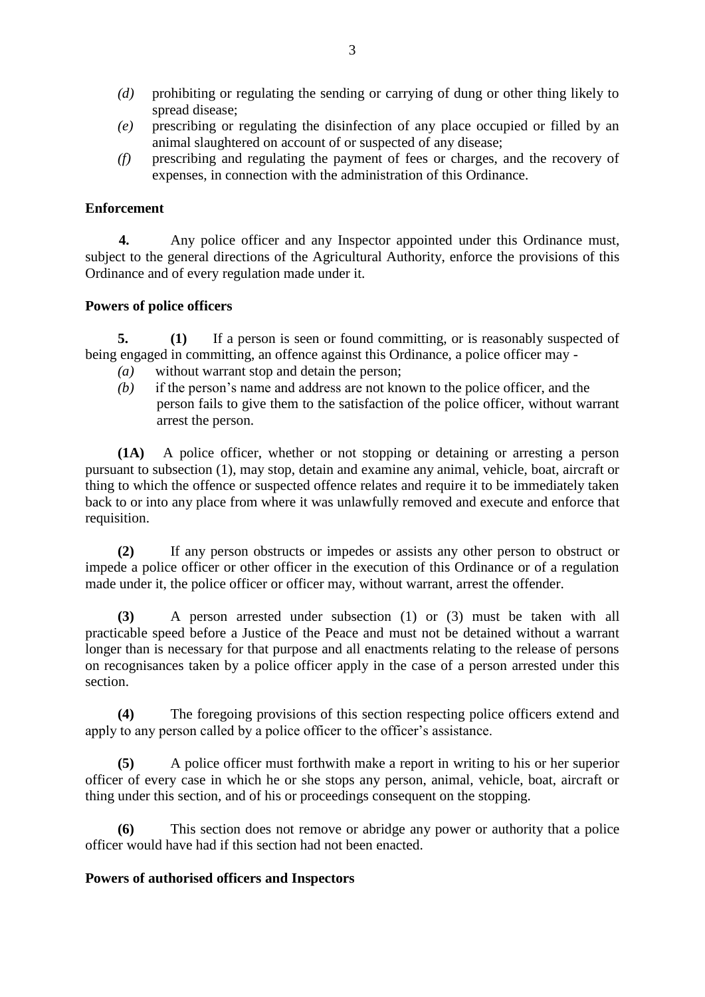- *(d)* prohibiting or regulating the sending or carrying of dung or other thing likely to spread disease;
- *(e)* prescribing or regulating the disinfection of any place occupied or filled by an animal slaughtered on account of or suspected of any disease;
- *(f)* prescribing and regulating the payment of fees or charges, and the recovery of expenses, in connection with the administration of this Ordinance.

#### **Enforcement**

**4.** Any police officer and any Inspector appointed under this Ordinance must, subject to the general directions of the Agricultural Authority, enforce the provisions of this Ordinance and of every regulation made under it.

## **Powers of police officers**

**5. (1)** If a person is seen or found committing, or is reasonably suspected of being engaged in committing, an offence against this Ordinance, a police officer may -

- *(a)* without warrant stop and detain the person;
- *(b)* if the person's name and address are not known to the police officer, and the person fails to give them to the satisfaction of the police officer, without warrant arrest the person.

**(1A)** A police officer, whether or not stopping or detaining or arresting a person pursuant to subsection (1), may stop, detain and examine any animal, vehicle, boat, aircraft or thing to which the offence or suspected offence relates and require it to be immediately taken back to or into any place from where it was unlawfully removed and execute and enforce that requisition.

**(2)** If any person obstructs or impedes or assists any other person to obstruct or impede a police officer or other officer in the execution of this Ordinance or of a regulation made under it, the police officer or officer may, without warrant, arrest the offender.

**(3)** A person arrested under subsection (1) or (3) must be taken with all practicable speed before a Justice of the Peace and must not be detained without a warrant longer than is necessary for that purpose and all enactments relating to the release of persons on recognisances taken by a police officer apply in the case of a person arrested under this section.

**(4)** The foregoing provisions of this section respecting police officers extend and apply to any person called by a police officer to the officer's assistance.

**(5)** A police officer must forthwith make a report in writing to his or her superior officer of every case in which he or she stops any person, animal, vehicle, boat, aircraft or thing under this section, and of his or proceedings consequent on the stopping.

**(6)** This section does not remove or abridge any power or authority that a police officer would have had if this section had not been enacted.

#### **Powers of authorised officers and Inspectors**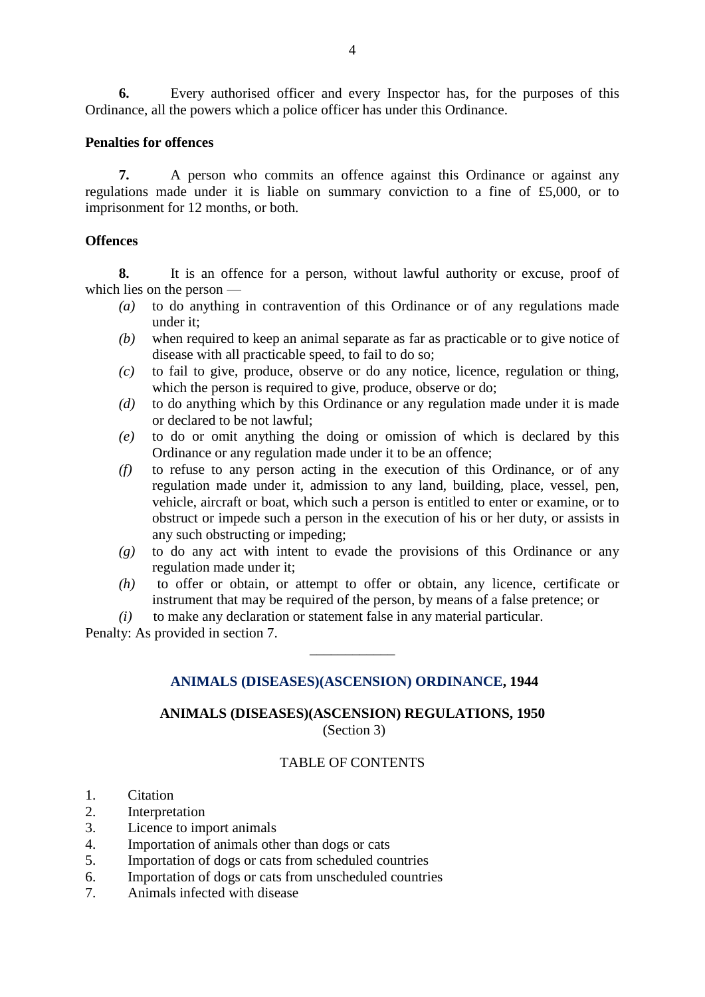**6.** Every authorised officer and every Inspector has, for the purposes of this Ordinance, all the powers which a police officer has under this Ordinance.

#### **Penalties for offences**

**7.** A person who commits an offence against this Ordinance or against any regulations made under it is liable on summary conviction to a fine of £5,000, or to imprisonment for 12 months, or both.

#### **Offences**

**8.** It is an offence for a person, without lawful authority or excuse, proof of which lies on the person —

- *(a)* to do anything in contravention of this Ordinance or of any regulations made under it;
- *(b)* when required to keep an animal separate as far as practicable or to give notice of disease with all practicable speed, to fail to do so;
- *(c)* to fail to give, produce, observe or do any notice, licence, regulation or thing, which the person is required to give, produce, observe or do;
- *(d)* to do anything which by this Ordinance or any regulation made under it is made or declared to be not lawful;
- *(e)* to do or omit anything the doing or omission of which is declared by this Ordinance or any regulation made under it to be an offence;
- *(f)* to refuse to any person acting in the execution of this Ordinance, or of any regulation made under it, admission to any land, building, place, vessel, pen, vehicle, aircraft or boat, which such a person is entitled to enter or examine, or to obstruct or impede such a person in the execution of his or her duty, or assists in any such obstructing or impeding;
- *(g)* to do any act with intent to evade the provisions of this Ordinance or any regulation made under it;
- *(h)* to offer or obtain, or attempt to offer or obtain, any licence, certificate or instrument that may be required of the person, by means of a false pretence; or
- *(i)* to make any declaration or statement false in any material particular.

Penalty: As provided in section 7.

#### **[ANIMALS \(DISEASES\)\(ASCENSION\)](file:///C:/Users/Wilson/Desktop/SH%20Environment%20&%20Natural%20Resources/%20/%20BankingOrdinance) ORDINANCE, 1944**

\_\_\_\_\_\_\_\_\_\_\_\_

## **ANIMALS (DISEASES)(ASCENSION) REGULATIONS, 1950** (Section 3)

#### TABLE OF CONTENTS

- 1. Citation
- 2. Interpretation
- 3. Licence to import animals
- 4. Importation of animals other than dogs or cats
- 5. Importation of dogs or cats from scheduled countries
- 6. Importation of dogs or cats from unscheduled countries
- 7. Animals infected with disease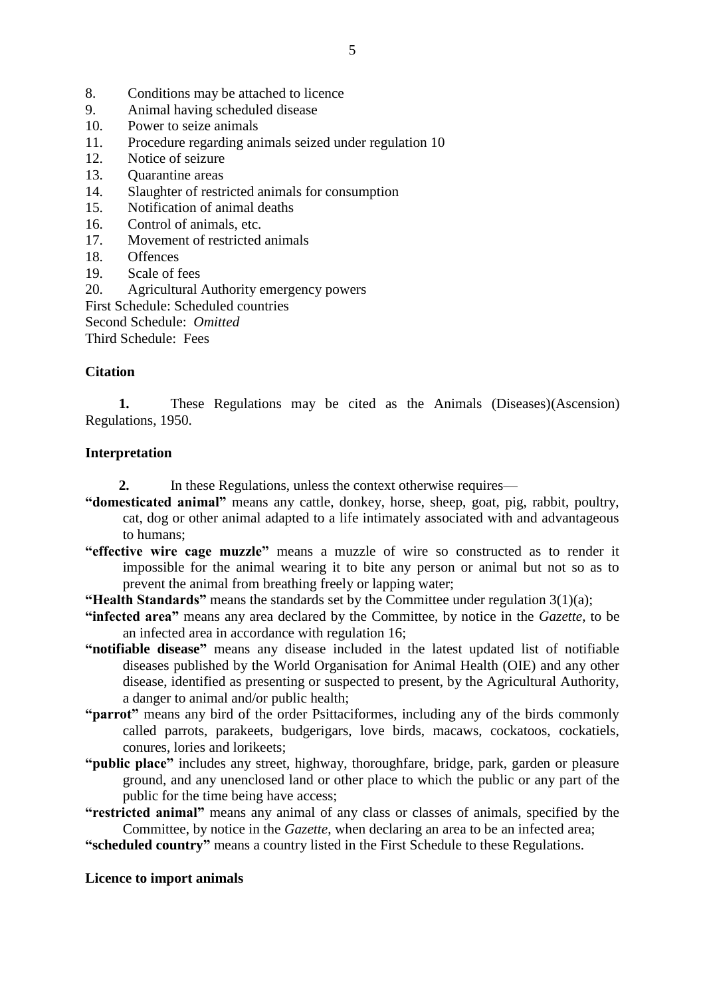- 9. Animal having scheduled disease
- 10. Power to seize animals
- 11. Procedure regarding animals seized under regulation 10
- 12. Notice of seizure
- 13. Quarantine areas
- 14. Slaughter of restricted animals for consumption
- 15. Notification of animal deaths
- 16. Control of animals, etc.
- 17. Movement of restricted animals
- 18. Offences
- 19. Scale of fees

20. Agricultural Authority emergency powers

First Schedule: Scheduled countries

Second Schedule: *Omitted*

Third Schedule: Fees

## **Citation**

**1.** These Regulations may be cited as the Animals (Diseases)(Ascension) Regulations, 1950.

## **Interpretation**

- **2.** In these Regulations, unless the context otherwise requires—
- **"domesticated animal"** means any cattle, donkey, horse, sheep, goat, pig, rabbit, poultry, cat, dog or other animal adapted to a life intimately associated with and advantageous to humans;
- **"effective wire cage muzzle"** means a muzzle of wire so constructed as to render it impossible for the animal wearing it to bite any person or animal but not so as to prevent the animal from breathing freely or lapping water;
- **"Health Standards"** means the standards set by the Committee under regulation 3(1)(a);
- **"infected area"** means any area declared by the Committee, by notice in the *Gazette*, to be an infected area in accordance with regulation 16;
- **"notifiable disease"** means any disease included in the latest updated list of notifiable diseases published by the World Organisation for Animal Health (OIE) and any other disease, identified as presenting or suspected to present, by the Agricultural Authority, a danger to animal and/or public health;
- **"parrot"** means any bird of the order Psittaciformes, including any of the birds commonly called parrots, parakeets, budgerigars, love birds, macaws, cockatoos, cockatiels, conures, lories and lorikeets;
- **"public place"** includes any street, highway, thoroughfare, bridge, park, garden or pleasure ground, and any unenclosed land or other place to which the public or any part of the public for the time being have access;
- **"restricted animal"** means any animal of any class or classes of animals, specified by the Committee, by notice in the *Gazette*, when declaring an area to be an infected area;
- **"scheduled country"** means a country listed in the First Schedule to these Regulations.

#### **Licence to import animals**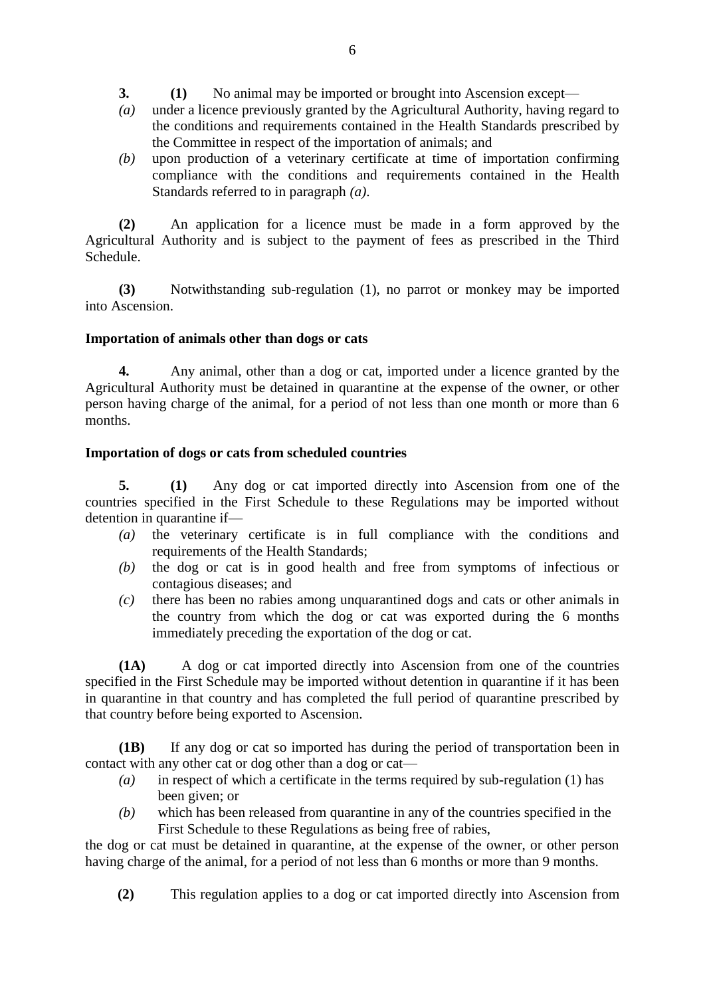- **3. (1)** No animal may be imported or brought into Ascension except—
- *(a)* under a licence previously granted by the Agricultural Authority, having regard to the conditions and requirements contained in the Health Standards prescribed by the Committee in respect of the importation of animals; and
- *(b)* upon production of a veterinary certificate at time of importation confirming compliance with the conditions and requirements contained in the Health Standards referred to in paragraph *(a)*.

**(2)** An application for a licence must be made in a form approved by the Agricultural Authority and is subject to the payment of fees as prescribed in the Third Schedule.

**(3)** Notwithstanding sub-regulation (1), no parrot or monkey may be imported into Ascension.

## **Importation of animals other than dogs or cats**

**4.** Any animal, other than a dog or cat, imported under a licence granted by the Agricultural Authority must be detained in quarantine at the expense of the owner, or other person having charge of the animal, for a period of not less than one month or more than 6 months.

## **Importation of dogs or cats from scheduled countries**

**5. (1)** Any dog or cat imported directly into Ascension from one of the countries specified in the First Schedule to these Regulations may be imported without detention in quarantine if—

- *(a)* the veterinary certificate is in full compliance with the conditions and requirements of the Health Standards;
- *(b)* the dog or cat is in good health and free from symptoms of infectious or contagious diseases; and
- *(c)* there has been no rabies among unquarantined dogs and cats or other animals in the country from which the dog or cat was exported during the 6 months immediately preceding the exportation of the dog or cat.

**(1A)**A dog or cat imported directly into Ascension from one of the countries specified in the First Schedule may be imported without detention in quarantine if it has been in quarantine in that country and has completed the full period of quarantine prescribed by that country before being exported to Ascension.

**(1B)** If any dog or cat so imported has during the period of transportation been in contact with any other cat or dog other than a dog or cat—

- *(a)* in respect of which a certificate in the terms required by sub-regulation (1) has been given; or
- *(b)* which has been released from quarantine in any of the countries specified in the First Schedule to these Regulations as being free of rabies,

the dog or cat must be detained in quarantine, at the expense of the owner, or other person having charge of the animal, for a period of not less than 6 months or more than 9 months.

**(2)** This regulation applies to a dog or cat imported directly into Ascension from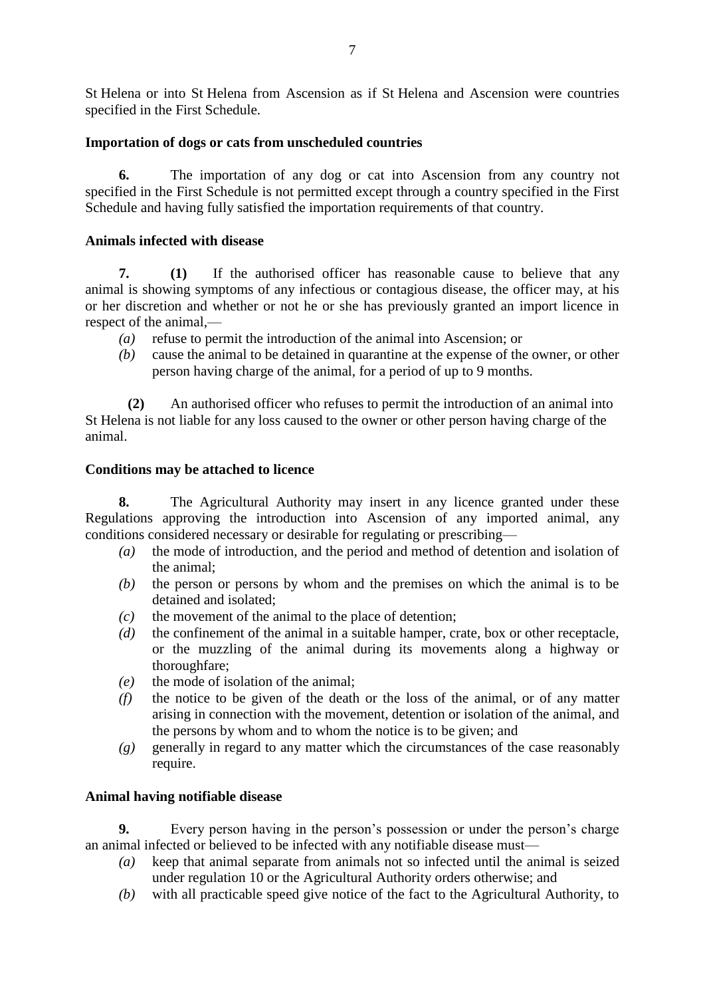St Helena or into St Helena from Ascension as if St Helena and Ascension were countries specified in the First Schedule.

## **Importation of dogs or cats from unscheduled countries**

**6.** The importation of any dog or cat into Ascension from any country not specified in the First Schedule is not permitted except through a country specified in the First Schedule and having fully satisfied the importation requirements of that country.

## **Animals infected with disease**

**7. (1)** If the authorised officer has reasonable cause to believe that any animal is showing symptoms of any infectious or contagious disease, the officer may, at his or her discretion and whether or not he or she has previously granted an import licence in respect of the animal,—

- *(a)* refuse to permit the introduction of the animal into Ascension; or
- *(b)* cause the animal to be detained in quarantine at the expense of the owner, or other person having charge of the animal, for a period of up to 9 months.

**(2)** An authorised officer who refuses to permit the introduction of an animal into St Helena is not liable for any loss caused to the owner or other person having charge of the animal.

#### **Conditions may be attached to licence**

**8.** The Agricultural Authority may insert in any licence granted under these Regulations approving the introduction into Ascension of any imported animal, any conditions considered necessary or desirable for regulating or prescribing—

- *(a)* the mode of introduction, and the period and method of detention and isolation of the animal;
- *(b)* the person or persons by whom and the premises on which the animal is to be detained and isolated;
- *(c)* the movement of the animal to the place of detention;
- *(d)* the confinement of the animal in a suitable hamper, crate, box or other receptacle, or the muzzling of the animal during its movements along a highway or thoroughfare;
- *(e)* the mode of isolation of the animal;
- *(f)* the notice to be given of the death or the loss of the animal, or of any matter arising in connection with the movement, detention or isolation of the animal, and the persons by whom and to whom the notice is to be given; and
- *(g)* generally in regard to any matter which the circumstances of the case reasonably require.

#### **Animal having notifiable disease**

**9.** Every person having in the person's possession or under the person's charge an animal infected or believed to be infected with any notifiable disease must—

- *(a)* keep that animal separate from animals not so infected until the animal is seized under regulation 10 or the Agricultural Authority orders otherwise; and
- *(b)* with all practicable speed give notice of the fact to the Agricultural Authority, to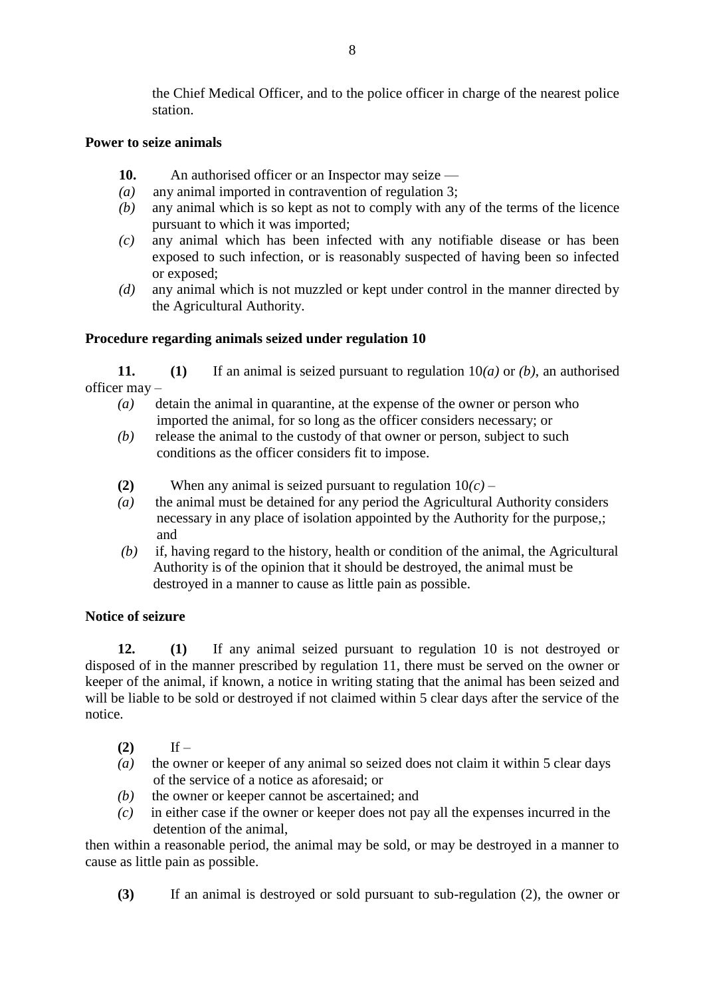the Chief Medical Officer, and to the police officer in charge of the nearest police station.

## **Power to seize animals**

- 10. An authorised officer or an Inspector may seize —
- *(a)* any animal imported in contravention of regulation 3;
- *(b)* any animal which is so kept as not to comply with any of the terms of the licence pursuant to which it was imported;
- *(c)* any animal which has been infected with any notifiable disease or has been exposed to such infection, or is reasonably suspected of having been so infected or exposed;
- *(d)* any animal which is not muzzled or kept under control in the manner directed by the Agricultural Authority.

# **Procedure regarding animals seized under regulation 10**

**11. (1)** If an animal is seized pursuant to regulation 10*(a)* or *(b)*, an authorised officer may –

- *(a)* detain the animal in quarantine, at the expense of the owner or person who imported the animal, for so long as the officer considers necessary; or
- *(b)*release the animal to the custody of that owner or person, subject to such conditions as the officer considers fit to impose.
- **(2)** When any animal is seized pursuant to regulation 10*(c) –*
- *(a)* the animal must be detained for any period the Agricultural Authority considers necessary in any place of isolation appointed by the Authority for the purpose,; and
- *(b)* if, having regard to the history, health or condition of the animal, the Agricultural Authority is of the opinion that it should be destroyed, the animal must be destroyed in a manner to cause as little pain as possible.

## **Notice of seizure**

**12. (1)** If any animal seized pursuant to regulation 10 is not destroyed or disposed of in the manner prescribed by regulation 11, there must be served on the owner or keeper of the animal, if known, a notice in writing stating that the animal has been seized and will be liable to be sold or destroyed if not claimed within 5 clear days after the service of the notice.

- (2) If –
- *(a)* the owner or keeper of any animal so seized does not claim it within 5 clear days of the service of a notice as aforesaid; or
- *(b)* the owner or keeper cannot be ascertained; and
- *(c)* in either case if the owner or keeper does not pay all the expenses incurred in the detention of the animal,

then within a reasonable period, the animal may be sold, or may be destroyed in a manner to cause as little pain as possible.

**(3)** If an animal is destroyed or sold pursuant to sub-regulation (2), the owner or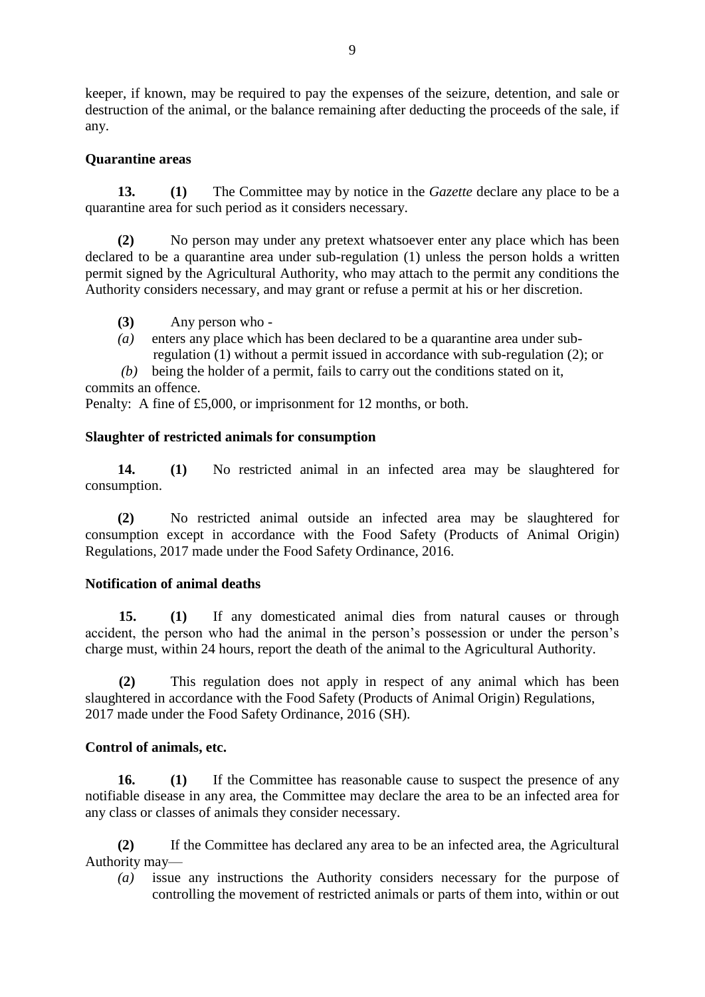keeper, if known, may be required to pay the expenses of the seizure, detention, and sale or destruction of the animal, or the balance remaining after deducting the proceeds of the sale, if any.

#### **Quarantine areas**

**13. (1)** The Committee may by notice in the *Gazette* declare any place to be a quarantine area for such period as it considers necessary.

**(2)** No person may under any pretext whatsoever enter any place which has been declared to be a quarantine area under sub-regulation (1) unless the person holds a written permit signed by the Agricultural Authority, who may attach to the permit any conditions the Authority considers necessary, and may grant or refuse a permit at his or her discretion.

- **(3)** Any person who -
- *(a)* enters any place which has been declared to be a quarantine area under sub regulation (1) without a permit issued in accordance with sub-regulation (2); or
- *(b)* being the holder of a permit, fails to carry out the conditions stated on it,

commits an offence.

Penalty: A fine of £5,000, or imprisonment for 12 months, or both.

## **Slaughter of restricted animals for consumption**

**14. (1)** No restricted animal in an infected area may be slaughtered for consumption.

**(2)** No restricted animal outside an infected area may be slaughtered for consumption except in accordance with the Food Safety (Products of Animal Origin) Regulations, 2017 made under the Food Safety Ordinance, 2016.

#### **Notification of animal deaths**

**15. (1)** If any domesticated animal dies from natural causes or through accident, the person who had the animal in the person's possession or under the person's charge must, within 24 hours, report the death of the animal to the Agricultural Authority.

**(2)** This regulation does not apply in respect of any animal which has been slaughtered in accordance with the Food Safety (Products of Animal Origin) Regulations, 2017 made under the Food Safety Ordinance, 2016 (SH).

#### **Control of animals, etc.**

**16. (1)** If the Committee has reasonable cause to suspect the presence of any notifiable disease in any area, the Committee may declare the area to be an infected area for any class or classes of animals they consider necessary.

**(2)** If the Committee has declared any area to be an infected area, the Agricultural Authority may—

*(a)* issue any instructions the Authority considers necessary for the purpose of controlling the movement of restricted animals or parts of them into, within or out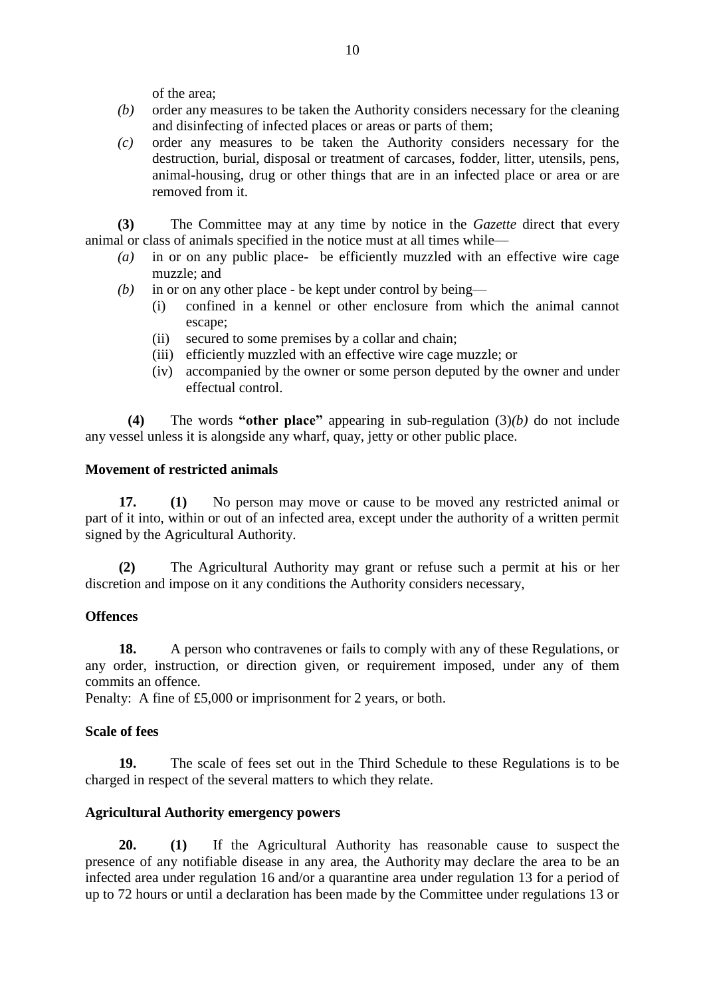of the area;

- *(b)* order any measures to be taken the Authority considers necessary for the cleaning and disinfecting of infected places or areas or parts of them;
- *(c)* order any measures to be taken the Authority considers necessary for the destruction, burial, disposal or treatment of carcases, fodder, litter, utensils, pens, animal-housing, drug or other things that are in an infected place or area or are removed from it.

**(3)** The Committee may at any time by notice in the *Gazette* direct that every animal or class of animals specified in the notice must at all times while—

- *(a)* in or on any public place- be efficiently muzzled with an effective wire cage muzzle; and
- *(b)* in or on any other place be kept under control by being—
	- (i) confined in a kennel or other enclosure from which the animal cannot escape;
	- (ii) secured to some premises by a collar and chain;
	- (iii) efficiently muzzled with an effective wire cage muzzle; or
	- (iv) accompanied by the owner or some person deputed by the owner and under effectual control.

**(4)** The words **"other place"** appearing in sub-regulation (3)*(b)* do not include any vessel unless it is alongside any wharf, quay, jetty or other public place.

#### **Movement of restricted animals**

**17. (1)** No person may move or cause to be moved any restricted animal or part of it into, within or out of an infected area, except under the authority of a written permit signed by the Agricultural Authority.

**(2)** The Agricultural Authority may grant or refuse such a permit at his or her discretion and impose on it any conditions the Authority considers necessary,

#### **Offences**

**18.** A person who contravenes or fails to comply with any of these Regulations, or any order, instruction, or direction given, or requirement imposed, under any of them commits an offence.

Penalty: A fine of £5,000 or imprisonment for 2 years, or both.

#### **Scale of fees**

**19.** The scale of fees set out in the Third Schedule to these Regulations is to be charged in respect of the several matters to which they relate.

#### **Agricultural Authority emergency powers**

**20. (1)** If the Agricultural Authority has reasonable cause to suspect the presence of any notifiable disease in any area, the Authority may declare the area to be an infected area under regulation 16 and/or a quarantine area under regulation 13 for a period of up to 72 hours or until a declaration has been made by the Committee under regulations 13 or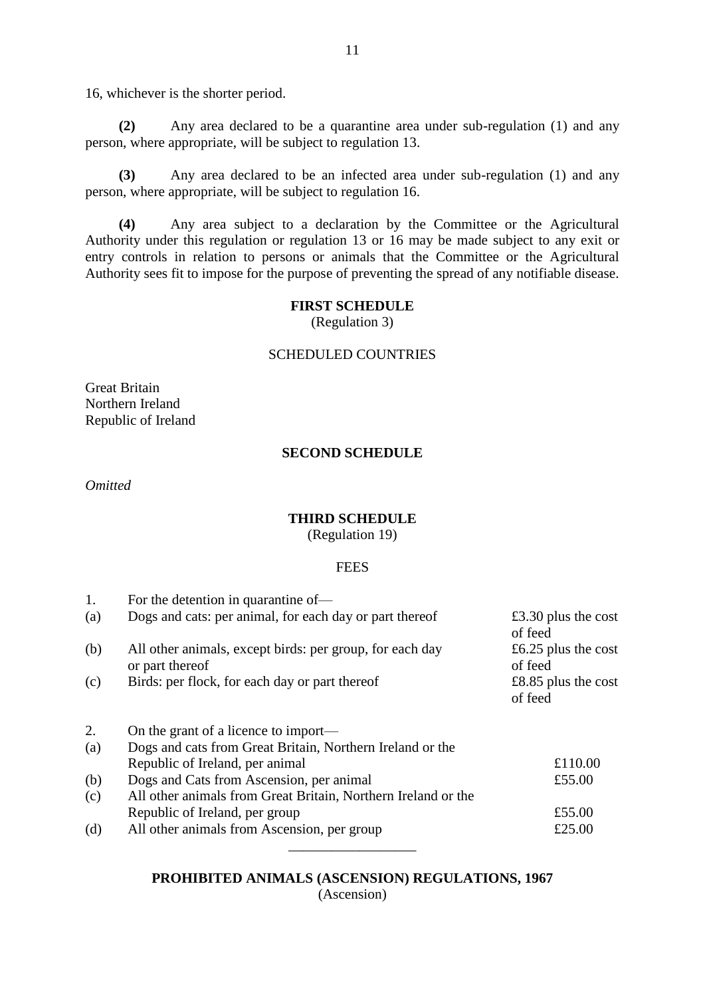16, whichever is the shorter period.

**(2)** Any area declared to be a quarantine area under sub-regulation (1) and any person, where appropriate, will be subject to regulation 13.

**(3)** Any area declared to be an infected area under sub-regulation (1) and any person, where appropriate, will be subject to regulation 16.

**(4)** Any area subject to a declaration by the Committee or the Agricultural Authority under this regulation or regulation 13 or 16 may be made subject to any exit or entry controls in relation to persons or animals that the Committee or the Agricultural Authority sees fit to impose for the purpose of preventing the spread of any notifiable disease.

#### **FIRST SCHEDULE**

(Regulation 3)

#### SCHEDULED COUNTRIES

Great Britain Northern Ireland Republic of Ireland

#### **SECOND SCHEDULE**

*Omitted*

#### **THIRD SCHEDULE**

(Regulation 19)

#### **FEES**

| 1.  | For the detention in quarantine of—                                         |                                |
|-----|-----------------------------------------------------------------------------|--------------------------------|
| (a) | Dogs and cats: per animal, for each day or part thereof                     | £3.30 plus the cost<br>of feed |
| (b) | All other animals, except birds: per group, for each day<br>or part thereof | £6.25 plus the cost<br>of feed |
| (c) | Birds: per flock, for each day or part thereof                              | £8.85 plus the cost<br>of feed |
| 2.  | On the grant of a licence to import—                                        |                                |
| (a) | Dogs and cats from Great Britain, Northern Ireland or the                   |                                |
|     | Republic of Ireland, per animal                                             | £110.00                        |
| (b) | Dogs and Cats from Ascension, per animal                                    | £55.00                         |
| (c) | All other animals from Great Britain, Northern Ireland or the               |                                |
|     | Republic of Ireland, per group                                              | £55.00                         |
| (d) | All other animals from Ascension, per group                                 | £25.00                         |

## **PROHIBITED ANIMALS (ASCENSION) REGULATIONS, 1967** (Ascension)